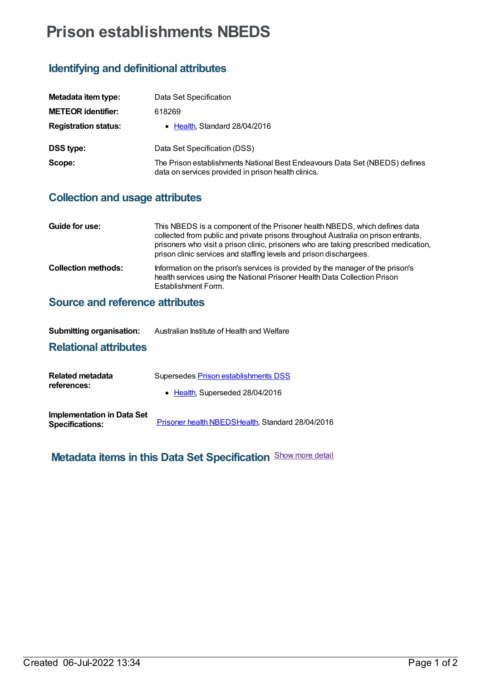# **Prison establishments NBEDS**

#### **Identifying and definitional attributes**

| Metadata item type:         | Data Set Specification                                                                                                             |
|-----------------------------|------------------------------------------------------------------------------------------------------------------------------------|
| <b>METEOR identifier:</b>   | 618269                                                                                                                             |
| <b>Registration status:</b> | • Health, Standard 28/04/2016                                                                                                      |
| <b>DSS type:</b>            | Data Set Specification (DSS)                                                                                                       |
| Scope:                      | The Prison establishments National Best Endeavours Data Set (NBEDS) defines<br>data on services provided in prison health clinics. |

#### **Collection and usage attributes**

| Guide for use:             | This NBEDS is a component of the Prisoner health NBEDS, which defines data<br>collected from public and private prisons throughout Australia on prison entrants,<br>prisoners who visit a prison clinic, prisoners who are taking prescribed medication,<br>prison clinic services and staffing levels and prison dischargees. |
|----------------------------|--------------------------------------------------------------------------------------------------------------------------------------------------------------------------------------------------------------------------------------------------------------------------------------------------------------------------------|
| <b>Collection methods:</b> | Information on the prison's services is provided by the manager of the prison's<br>health services using the National Prisoner Health Data Collection Prison<br>Establishment Form.                                                                                                                                            |

### **Source and reference attributes**

| <b>Submitting organisation:</b> | Australian Institute of Health and Welfare |
|---------------------------------|--------------------------------------------|
|                                 |                                            |

### **Relational attributes**

| Related metadata<br>references:                             | Supersedes Prison establishments DSS             |
|-------------------------------------------------------------|--------------------------------------------------|
|                                                             | • Health, Superseded 28/04/2016                  |
| <b>Implementation in Data Set</b><br><b>Specifications:</b> | Prisoner health NBEDSHealth, Standard 28/04/2016 |

## **Metadata items in this Data Set Specification** Show more detail